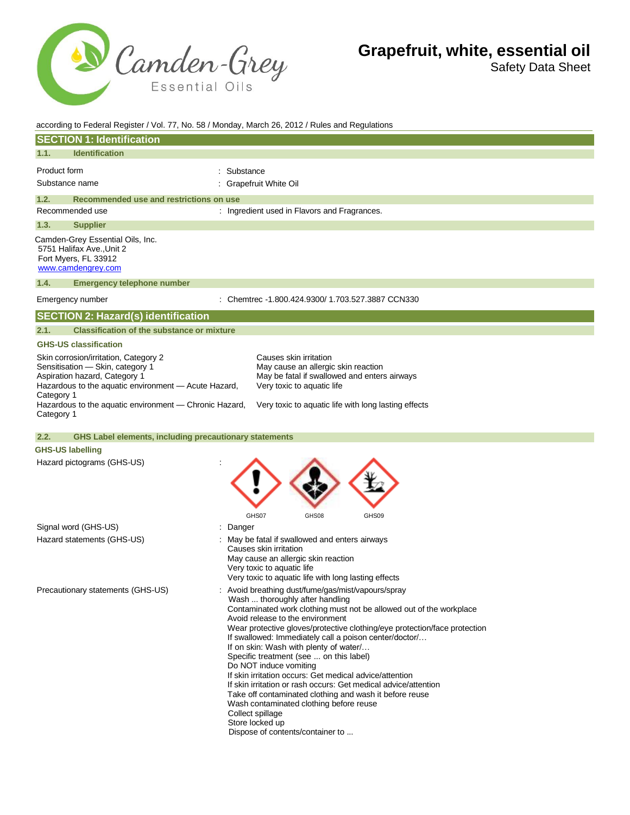

Safety Data Sheet

| according to Federal Register / Vol. 77, No. 58 / Monday, March 26, 2012 / Rules and Regulations                                                                                                                                                         |                                                                                                                                                                                                                                                                                                                                                                                                                                                                                                                                                                                                                                                                                                                                                                       |  |  |
|----------------------------------------------------------------------------------------------------------------------------------------------------------------------------------------------------------------------------------------------------------|-----------------------------------------------------------------------------------------------------------------------------------------------------------------------------------------------------------------------------------------------------------------------------------------------------------------------------------------------------------------------------------------------------------------------------------------------------------------------------------------------------------------------------------------------------------------------------------------------------------------------------------------------------------------------------------------------------------------------------------------------------------------------|--|--|
| <b>SECTION 1: Identification</b>                                                                                                                                                                                                                         |                                                                                                                                                                                                                                                                                                                                                                                                                                                                                                                                                                                                                                                                                                                                                                       |  |  |
| <b>Identification</b><br>1.1.                                                                                                                                                                                                                            |                                                                                                                                                                                                                                                                                                                                                                                                                                                                                                                                                                                                                                                                                                                                                                       |  |  |
| Product form                                                                                                                                                                                                                                             | Substance                                                                                                                                                                                                                                                                                                                                                                                                                                                                                                                                                                                                                                                                                                                                                             |  |  |
| Substance name                                                                                                                                                                                                                                           | Grapefruit White Oil                                                                                                                                                                                                                                                                                                                                                                                                                                                                                                                                                                                                                                                                                                                                                  |  |  |
| 1.2.<br>Recommended use and restrictions on use                                                                                                                                                                                                          |                                                                                                                                                                                                                                                                                                                                                                                                                                                                                                                                                                                                                                                                                                                                                                       |  |  |
| Recommended use                                                                                                                                                                                                                                          | : Ingredient used in Flavors and Fragrances.                                                                                                                                                                                                                                                                                                                                                                                                                                                                                                                                                                                                                                                                                                                          |  |  |
| <b>Supplier</b><br>1.3.                                                                                                                                                                                                                                  |                                                                                                                                                                                                                                                                                                                                                                                                                                                                                                                                                                                                                                                                                                                                                                       |  |  |
| Camden-Grey Essential Oils, Inc.<br>5751 Halifax Ave., Unit 2<br>Fort Myers, FL 33912<br>www.camdengrey.com                                                                                                                                              |                                                                                                                                                                                                                                                                                                                                                                                                                                                                                                                                                                                                                                                                                                                                                                       |  |  |
| 1.4.<br><b>Emergency telephone number</b>                                                                                                                                                                                                                |                                                                                                                                                                                                                                                                                                                                                                                                                                                                                                                                                                                                                                                                                                                                                                       |  |  |
| Emergency number                                                                                                                                                                                                                                         | : Chemtrec -1.800.424.9300/ 1.703.527.3887 CCN330                                                                                                                                                                                                                                                                                                                                                                                                                                                                                                                                                                                                                                                                                                                     |  |  |
| <b>SECTION 2: Hazard(s) identification</b>                                                                                                                                                                                                               |                                                                                                                                                                                                                                                                                                                                                                                                                                                                                                                                                                                                                                                                                                                                                                       |  |  |
| <b>Classification of the substance or mixture</b><br>2.1.                                                                                                                                                                                                |                                                                                                                                                                                                                                                                                                                                                                                                                                                                                                                                                                                                                                                                                                                                                                       |  |  |
| <b>GHS-US classification</b>                                                                                                                                                                                                                             |                                                                                                                                                                                                                                                                                                                                                                                                                                                                                                                                                                                                                                                                                                                                                                       |  |  |
| Skin corrosion/irritation, Category 2<br>Sensitisation - Skin, category 1<br>Aspiration hazard, Category 1<br>Hazardous to the aquatic environment - Acute Hazard,<br>Category 1<br>Hazardous to the aquatic environment - Chronic Hazard,<br>Category 1 | Causes skin irritation<br>May cause an allergic skin reaction<br>May be fatal if swallowed and enters airways<br>Very toxic to aquatic life<br>Very toxic to aquatic life with long lasting effects                                                                                                                                                                                                                                                                                                                                                                                                                                                                                                                                                                   |  |  |
| 2.2.                                                                                                                                                                                                                                                     | <b>GHS Label elements, including precautionary statements</b>                                                                                                                                                                                                                                                                                                                                                                                                                                                                                                                                                                                                                                                                                                         |  |  |
| <b>GHS-US labelling</b><br>Hazard pictograms (GHS-US)                                                                                                                                                                                                    | GHS07<br>GHS08<br>GHS09                                                                                                                                                                                                                                                                                                                                                                                                                                                                                                                                                                                                                                                                                                                                               |  |  |
| Signal word (GHS-US)                                                                                                                                                                                                                                     | Danger                                                                                                                                                                                                                                                                                                                                                                                                                                                                                                                                                                                                                                                                                                                                                                |  |  |
| Hazard statements (GHS-US)                                                                                                                                                                                                                               | May be fatal if swallowed and enters airways<br>Causes skin irritation<br>May cause an allergic skin reaction<br>Very toxic to aquatic life<br>Very toxic to aquatic life with long lasting effects                                                                                                                                                                                                                                                                                                                                                                                                                                                                                                                                                                   |  |  |
| Precautionary statements (GHS-US)                                                                                                                                                                                                                        | : Avoid breathing dust/fume/gas/mist/vapours/spray<br>Wash  thoroughly after handling<br>Contaminated work clothing must not be allowed out of the workplace<br>Avoid release to the environment<br>Wear protective gloves/protective clothing/eye protection/face protection<br>If swallowed: Immediately call a poison center/doctor/<br>If on skin: Wash with plenty of water/<br>Specific treatment (see  on this label)<br>Do NOT induce vomiting<br>If skin irritation occurs: Get medical advice/attention<br>If skin irritation or rash occurs: Get medical advice/attention<br>Take off contaminated clothing and wash it before reuse<br>Wash contaminated clothing before reuse<br>Collect spillage<br>Store locked up<br>Dispose of contents/container to |  |  |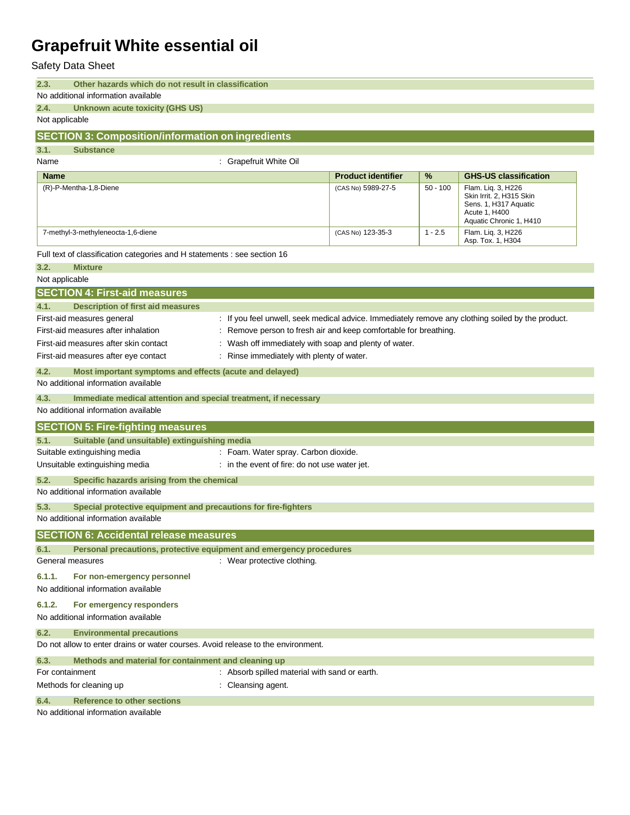Safety Data Sheet

| 2.3. | Other hazards which do not result in classification |
|------|-----------------------------------------------------|
|------|-----------------------------------------------------|

#### No additional information available **2.4. Unknown acute toxicity (GHS US)**

Not applicable

#### **SECTION 3: Composition/information on ingredients**

**3.1. Substance**

Name : Grapefruit White Oil

| <b>Name</b>                        | <b>Product identifier</b> | $\%$       | <b>GHS-US classification</b>                                                                                        |
|------------------------------------|---------------------------|------------|---------------------------------------------------------------------------------------------------------------------|
| (R)-P-Mentha-1,8-Diene             | (CAS No) 5989-27-5        | $50 - 100$ | Flam. Lig. 3, H226<br>Skin Irrit. 2, H315 Skin<br>Sens. 1, H317 Aquatic<br>Acute 1, H400<br>Aquatic Chronic 1, H410 |
| 7-methyl-3-methyleneocta-1,6-diene | (CAS No) 123-35-3         | $1 - 2.5$  | Flam. Lig. 3, H226<br>Asp. Tox. 1, H304                                                                             |

Full text of classification categories and H statements : see section 16

| 3.2.             | <b>Mixture</b>                                                                   |                                                                                                   |
|------------------|----------------------------------------------------------------------------------|---------------------------------------------------------------------------------------------------|
| Not applicable   |                                                                                  |                                                                                                   |
|                  | <b>SECTION 4: First-aid measures</b>                                             |                                                                                                   |
| 4.1.             | <b>Description of first aid measures</b>                                         |                                                                                                   |
|                  | First-aid measures general                                                       | : If you feel unwell, seek medical advice. Immediately remove any clothing soiled by the product. |
|                  | First-aid measures after inhalation                                              | : Remove person to fresh air and keep comfortable for breathing.                                  |
|                  | First-aid measures after skin contact                                            | Wash off immediately with soap and plenty of water.                                               |
|                  | First-aid measures after eye contact                                             | Rinse immediately with plenty of water.                                                           |
| 4.2.             | Most important symptoms and effects (acute and delayed)                          |                                                                                                   |
|                  | No additional information available                                              |                                                                                                   |
| 4.3.             | Immediate medical attention and special treatment, if necessary                  |                                                                                                   |
|                  | No additional information available                                              |                                                                                                   |
|                  | <b>SECTION 5: Fire-fighting measures</b>                                         |                                                                                                   |
| 5.1.             | Suitable (and unsuitable) extinguishing media                                    |                                                                                                   |
|                  | Suitable extinguishing media                                                     | : Foam. Water spray. Carbon dioxide.                                                              |
|                  | Unsuitable extinguishing media                                                   | : in the event of fire: do not use water jet.                                                     |
| 5.2.             | Specific hazards arising from the chemical                                       |                                                                                                   |
|                  | No additional information available                                              |                                                                                                   |
| 5.3.             | Special protective equipment and precautions for fire-fighters                   |                                                                                                   |
|                  | No additional information available                                              |                                                                                                   |
|                  | <b>SECTION 6: Accidental release measures</b>                                    |                                                                                                   |
| 6.1.             | Personal precautions, protective equipment and emergency procedures              |                                                                                                   |
| General measures |                                                                                  | : Wear protective clothing.                                                                       |
| 6.1.1.           | For non-emergency personnel                                                      |                                                                                                   |
|                  | No additional information available                                              |                                                                                                   |
| 6.1.2.           | For emergency responders                                                         |                                                                                                   |
|                  | No additional information available                                              |                                                                                                   |
| 6.2.             | <b>Environmental precautions</b>                                                 |                                                                                                   |
|                  | Do not allow to enter drains or water courses. Avoid release to the environment. |                                                                                                   |
| 6.3.             | Methods and material for containment and cleaning up                             |                                                                                                   |
| For containment  |                                                                                  | : Absorb spilled material with sand or earth.                                                     |
|                  | Methods for cleaning up                                                          | : Cleansing agent.                                                                                |
| 6.4.             | <b>Reference to other sections</b>                                               |                                                                                                   |
|                  | No additional information available                                              |                                                                                                   |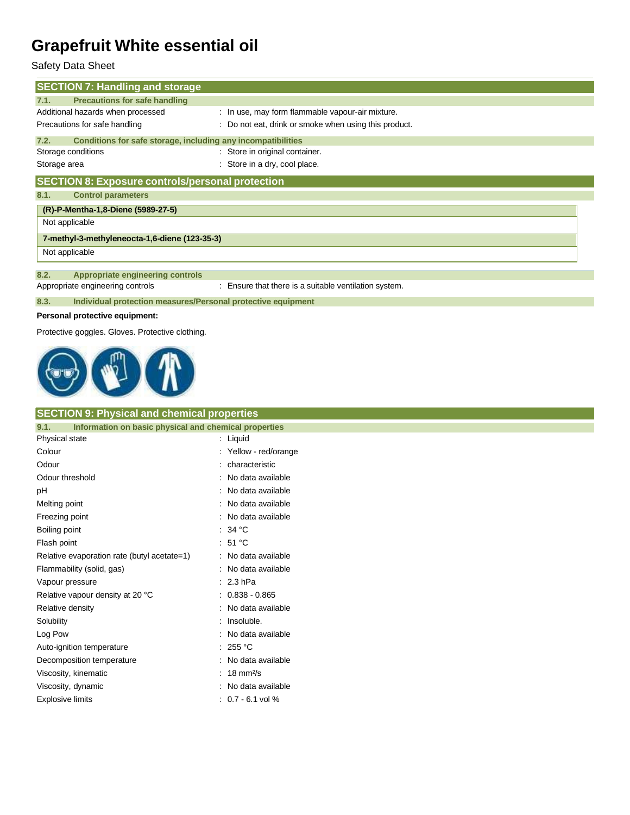### Safety Data Sheet

| <b>SECTION 7: Handling and storage</b>                               |                                                       |  |  |
|----------------------------------------------------------------------|-------------------------------------------------------|--|--|
| <b>Precautions for safe handling</b><br>7.1.                         |                                                       |  |  |
| Additional hazards when processed                                    | : In use, may form flammable vapour-air mixture.      |  |  |
| Precautions for safe handling                                        | : Do not eat, drink or smoke when using this product. |  |  |
| Conditions for safe storage, including any incompatibilities<br>7.2. |                                                       |  |  |
| Storage conditions                                                   | : Store in original container.                        |  |  |
| Storage area                                                         | : Store in a dry, cool place.                         |  |  |
| <b>SECTION 8: Exposure controls/personal protection</b>              |                                                       |  |  |
| <b>Control parameters</b><br>8.1.                                    |                                                       |  |  |
| (R)-P-Mentha-1,8-Diene (5989-27-5)                                   |                                                       |  |  |
| Not applicable                                                       |                                                       |  |  |
| 7-methyl-3-methyleneocta-1,6-diene (123-35-3)                        |                                                       |  |  |
| Not applicable                                                       |                                                       |  |  |
|                                                                      |                                                       |  |  |
| Appropriate engineering controls<br>8.2.                             |                                                       |  |  |
| Appropriate engineering controls                                     | : Ensure that there is a suitable ventilation system. |  |  |
| 8.3.<br>Individual protection measures/Personal protective equipment |                                                       |  |  |
|                                                                      |                                                       |  |  |

#### **Personal protective equipment:**

Protective goggles. Gloves. Protective clothing.



#### **SECTION 9: Physical and chemical properties**

| Information on basic physical and chemical properties<br>9.1. |  |                      |
|---------------------------------------------------------------|--|----------------------|
| Physical state                                                |  | Liquid               |
| Colour                                                        |  | Yellow - red/orange  |
| Odour                                                         |  | characteristic       |
| Odour threshold                                               |  | No data available    |
| рH                                                            |  | No data available    |
| Melting point                                                 |  | No data available    |
| Freezing point                                                |  | No data available    |
| Boiling point                                                 |  | 34 °C                |
| Flash point                                                   |  | : $51^{\circ}$ C     |
| Relative evaporation rate (butyl acetate=1)                   |  | No data available    |
| Flammability (solid, gas)                                     |  | No data available    |
| Vapour pressure                                               |  | $2.3$ hPa            |
| Relative vapour density at 20 °C                              |  | $0.838 - 0.865$      |
| Relative density                                              |  | No data available    |
| Solubility                                                    |  | Insoluble.           |
| Log Pow                                                       |  | No data available    |
| Auto-ignition temperature                                     |  | 255 °C               |
| Decomposition temperature                                     |  | No data available    |
| Viscosity, kinematic                                          |  | $18 \text{ mm}^2$ /s |
| Viscosity, dynamic                                            |  | No data available    |
| <b>Explosive limits</b>                                       |  | $0.7 - 6.1$ vol %    |
|                                                               |  |                      |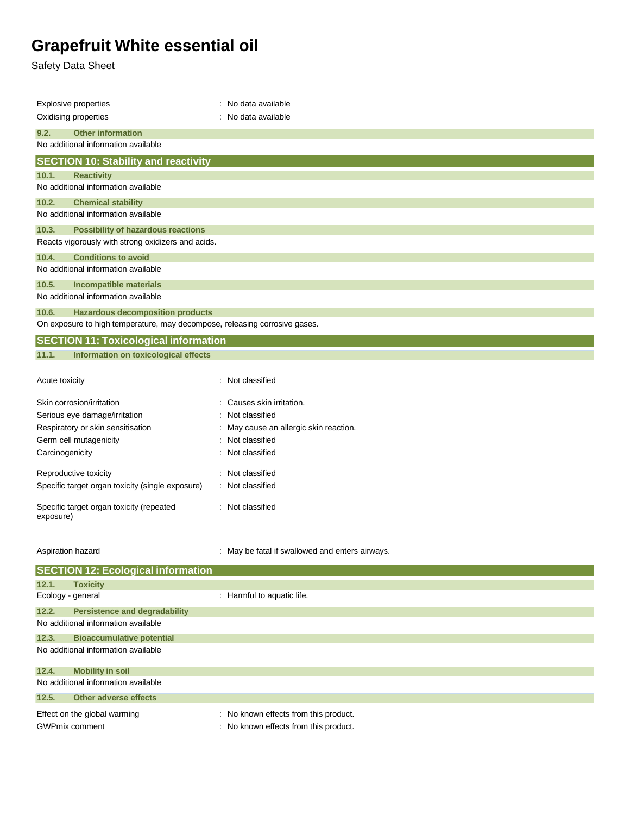Safety Data Sheet

| <b>Explosive properties</b>                                                | : No data available                    |  |  |
|----------------------------------------------------------------------------|----------------------------------------|--|--|
| Oxidising properties                                                       | : No data available                    |  |  |
| 9.2.<br><b>Other information</b>                                           |                                        |  |  |
| No additional information available                                        |                                        |  |  |
| <b>SECTION 10: Stability and reactivity</b>                                |                                        |  |  |
| 10.1.<br><b>Reactivity</b>                                                 |                                        |  |  |
| No additional information available                                        |                                        |  |  |
| <b>Chemical stability</b><br>10.2.                                         |                                        |  |  |
| No additional information available                                        |                                        |  |  |
| 10.3.<br><b>Possibility of hazardous reactions</b>                         |                                        |  |  |
| Reacts vigorously with strong oxidizers and acids.                         |                                        |  |  |
| <b>Conditions to avoid</b><br>10.4.                                        |                                        |  |  |
| No additional information available                                        |                                        |  |  |
| 10.5.<br><b>Incompatible materials</b>                                     |                                        |  |  |
| No additional information available                                        |                                        |  |  |
| <b>Hazardous decomposition products</b><br>10.6.                           |                                        |  |  |
| On exposure to high temperature, may decompose, releasing corrosive gases. |                                        |  |  |
| <b>SECTION 11: Toxicological information</b>                               |                                        |  |  |
| 11.1.<br>Information on toxicological effects                              |                                        |  |  |
|                                                                            |                                        |  |  |
| Acute toxicity                                                             | : Not classified                       |  |  |
| Skin corrosion/irritation                                                  | : Causes skin irritation.              |  |  |
| Serious eye damage/irritation                                              | : Not classified                       |  |  |
| Respiratory or skin sensitisation                                          | : May cause an allergic skin reaction. |  |  |
| Germ cell mutagenicity                                                     | : Not classified                       |  |  |
| Carcinogenicity                                                            | : Not classified                       |  |  |
| Reproductive toxicity                                                      | : Not classified                       |  |  |
| Specific target organ toxicity (single exposure)                           | : Not classified                       |  |  |
| Specific target organ toxicity (repeated<br>exposure)                      | : Not classified                       |  |  |
|                                                                            |                                        |  |  |

| <b>SECTION 12: Ecological information</b> |                                                       |                                                                                |  |
|-------------------------------------------|-------------------------------------------------------|--------------------------------------------------------------------------------|--|
| 12.1.                                     | <b>Toxicity</b>                                       |                                                                                |  |
| Ecology - general                         |                                                       | : Harmful to aquatic life.                                                     |  |
| 12.2.                                     | <b>Persistence and degradability</b>                  |                                                                                |  |
|                                           | No additional information available                   |                                                                                |  |
| 12.3.                                     | <b>Bioaccumulative potential</b>                      |                                                                                |  |
| No additional information available       |                                                       |                                                                                |  |
| 12.4.                                     | <b>Mobility in soil</b>                               |                                                                                |  |
| No additional information available       |                                                       |                                                                                |  |
| 12.5.                                     | Other adverse effects                                 |                                                                                |  |
|                                           | Effect on the global warming<br><b>GWPmix comment</b> | : No known effects from this product.<br>: No known effects from this product. |  |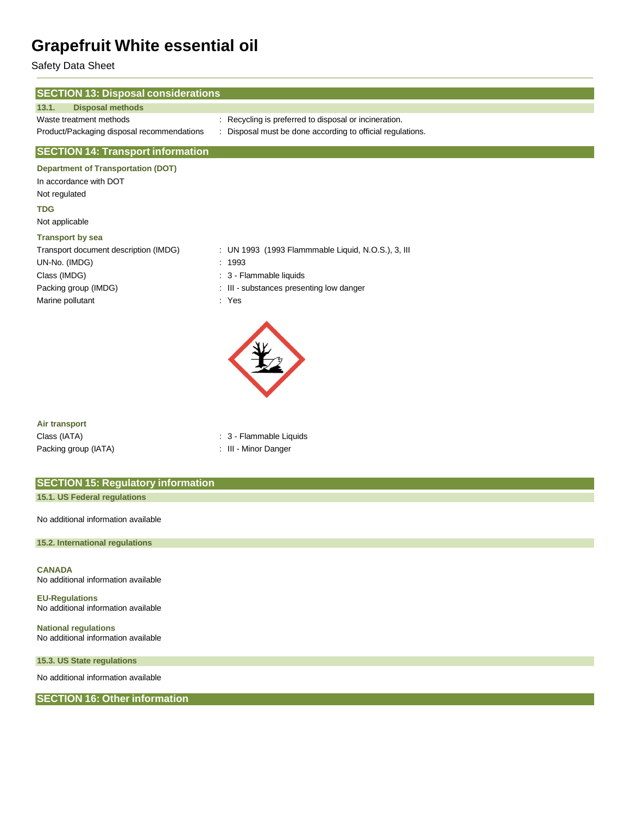Safety Data Sheet

| <b>SECTION 13: Disposal considerations</b> |                                                            |
|--------------------------------------------|------------------------------------------------------------|
| <b>Disposal methods</b><br>13.1.           |                                                            |
| Waste treatment methods                    | : Recycling is preferred to disposal or incineration.      |
| Product/Packaging disposal recommendations | : Disposal must be done according to official regulations. |
| <b>SECTION 14: Transport information</b>   |                                                            |
| <b>Department of Transportation (DOT)</b>  |                                                            |
| In accordance with DOT                     |                                                            |
| Not regulated                              |                                                            |
| <b>TDG</b>                                 |                                                            |
| Not applicable                             |                                                            |
| <b>Transport by sea</b>                    |                                                            |
| Transport document description (IMDG)      | : UN 1993 (1993 Flammmable Liquid, N.O.S.), 3, III         |
| UN-No. (IMDG)                              | : 1993                                                     |
| Class (IMDG)                               | : 3 - Flammable liquids                                    |
| Packing group (IMDG)                       | : III - substances presenting low danger                   |
| Marine pollutant                           | : Yes                                                      |
|                                            |                                                            |
| Air transport                              |                                                            |
| Class (IATA)                               | : 3 - Flammable Liquids                                    |

Packing group (IATA) **: III** - Minor Danger

| <b>SECTION 15: Regulatory information</b> |  |
|-------------------------------------------|--|
| 15.1. US Federal regulations              |  |
| No additional information available       |  |

**15.2. International regulations**

**CANADA** No additional information available

**EU-Regulations** No additional information available

**National regulations** No additional information available

**15.3. US State regulations**

No additional information available

**SECTION 16: Other information**